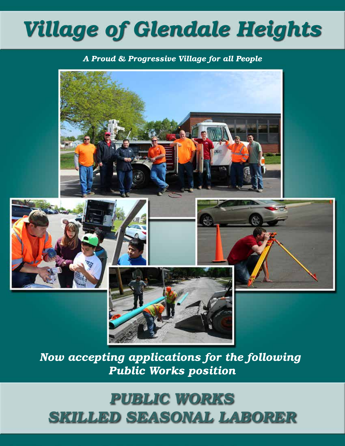# *Village of Glendale Heights*

#### *A Proud & Progressive Village for all People*



*Now accepting applications for the following Public Works position*

## *PUBLIC WORKS SKILLED SEASONAL LABORER*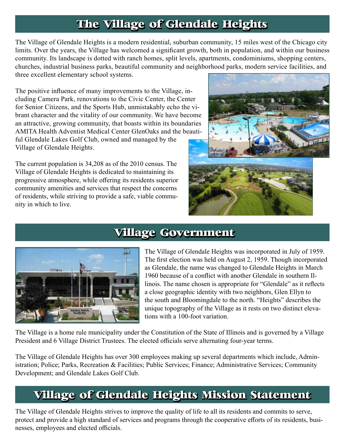## **The Village of Glendale Heights**

The Village of Glendale Heights is a modern residential, suburban community, 15 miles west of the Chicago city limits. Over the years, the Village has welcomed a significant growth, both in population, and within our business community. Its landscape is dotted with ranch homes, split levels, apartments, condominiums, shopping centers, churches, industrial business parks, beautiful community and neighborhood parks, modern service facilities, and three excellent elementary school systems.

The positive influence of many improvements to the Village, including Camera Park, renovations to the Civic Center, the Center for Senior Citizens, and the Sports Hub, unmistakably echo the vibrant character and the vitality of our community. We have become an attractive, growing community, that boasts within its boundaries AMITA Health Adventist Medical Center GlenOaks and the beautiful Glendale Lakes Golf Club, owned and managed by the Village of Glendale Heights.

The current population is 34,208 as of the 2010 census. The Village of Glendale Heights is dedicated to maintaining its progressive atmosphere, while offering its residents superior community amenities and services that respect the concerns of residents, while striving to provide a safe, viable community in which to live.



#### **Village Government**



The Village of Glendale Heights was incorporated in July of 1959. The first election was held on August 2, 1959. Though incorporated as Glendale, the name was changed to Glendale Heights in March 1960 because of a conflict with another Glendale in southern Illinois. The name chosen is appropriate for "Glendale" as it reflects a close geographic identity with two neighbors, Glen Ellyn to the south and Bloomingdale to the north. "Heights" describes the unique topography of the Village as it rests on two distinct elevations with a 100-foot variation.

The Village is a home rule municipality under the Constitution of the State of Illinois and is governed by a Village President and 6 Village District Trustees. The elected officials serve alternating four-year terms.

The Village of Glendale Heights has over 300 employees making up several departments which include, Administration; Police; Parks, Recreation & Facilities; Public Services; Finance; Administrative Services; Community Development; and Glendale Lakes Golf Club.

### **Village of Glendale Heights Mission Statement**

The Village of Glendale Heights strives to improve the quality of life to all its residents and commits to serve, protect and provide a high standard of services and programs through the cooperative efforts of its residents, businesses, employees and elected officials.